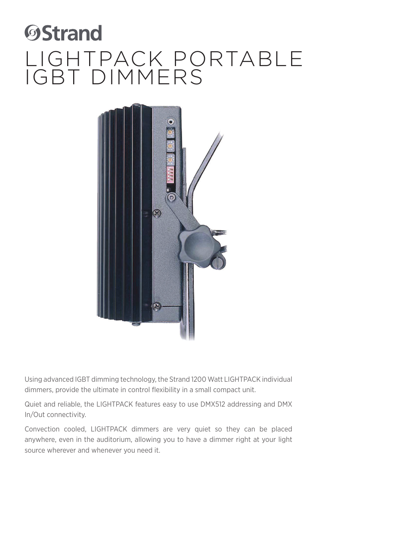

Using advanced IGBT dimming technology, the Strand 1200 Watt LIGHTPACK individual dimmers, provide the ultimate in control flexibility in a small compact unit.

Quiet and reliable, the LIGHTPACK features easy to use DMX512 addressing and DMX In/Out connectivity.

Convection cooled, LIGHTPACK dimmers are very quiet so they can be placed anywhere, even in the auditorium, allowing you to have a dimmer right at your light source wherever and whenever you need it.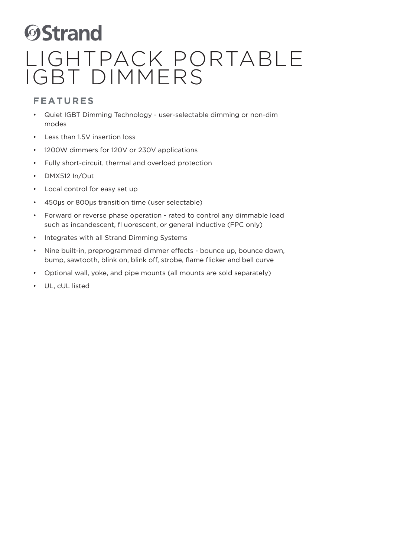#### **FEATURES**

- Quiet IGBT Dimming Technology user-selectable dimming or non-dim modes
- Less than 1.5V insertion loss
- 1200W dimmers for 120V or 230V applications
- Fully short-circuit, thermal and overload protection
- DMX512 In/Out
- Local control for easy set up
- 450μs or 800μs transition time (user selectable)
- Forward or reverse phase operation rated to control any dimmable load such as incandescent, fl uorescent, or general inductive (FPC only)
- Integrates with all Strand Dimming Systems
- Nine built-in, preprogrammed dimmer effects bounce up, bounce down, bump, sawtooth, blink on, blink off, strobe, flame flicker and bell curve
- Optional wall, yoke, and pipe mounts (all mounts are sold separately)
- UL, cUL listed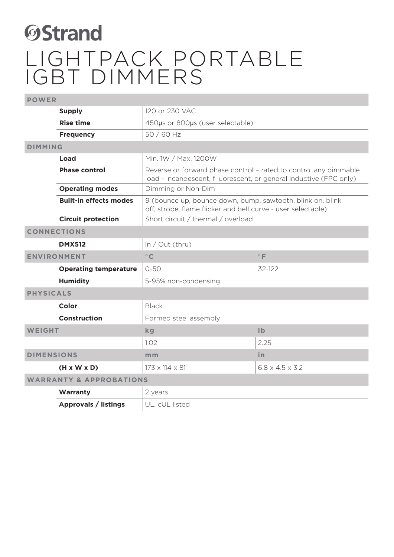| <b>POWER</b>                       |                                                                                                                                                                |                                                                                                                            |                             |  |
|------------------------------------|----------------------------------------------------------------------------------------------------------------------------------------------------------------|----------------------------------------------------------------------------------------------------------------------------|-----------------------------|--|
|                                    | <b>Supply</b>                                                                                                                                                  | 120 or 230 VAC                                                                                                             |                             |  |
|                                    | <b>Rise time</b>                                                                                                                                               | 450µs or 800µs (user selectable)                                                                                           |                             |  |
|                                    | 50 / 60 Hz<br><b>Frequency</b>                                                                                                                                 |                                                                                                                            |                             |  |
| <b>DIMMING</b>                     |                                                                                                                                                                |                                                                                                                            |                             |  |
|                                    | Min. 1W / Max. 1200W<br>Load                                                                                                                                   |                                                                                                                            |                             |  |
|                                    | <b>Phase control</b><br>Reverse or forward phase control - rated to control any dimmable<br>load - incandescent, fl uorescent, or general inductive (FPC only) |                                                                                                                            |                             |  |
|                                    | <b>Operating modes</b>                                                                                                                                         | Dimming or Non-Dim                                                                                                         |                             |  |
|                                    | <b>Built-in effects modes</b>                                                                                                                                  | 9 (bounce up, bounce down, bump, sawtooth, blink on, blink<br>off, strobe, flame flicker and bell curve - user selectable) |                             |  |
|                                    | <b>Circuit protection</b>                                                                                                                                      | Short circuit / thermal / overload                                                                                         |                             |  |
| <b>CONNECTIONS</b>                 |                                                                                                                                                                |                                                                                                                            |                             |  |
|                                    | <b>DMX512</b>                                                                                                                                                  | In / Out (thru)                                                                                                            |                             |  |
| <b>ENVIRONMENT</b>                 |                                                                                                                                                                | $\circ$ C                                                                                                                  | $\circ$ F                   |  |
|                                    | <b>Operating temperature</b>                                                                                                                                   | $O - 5O$                                                                                                                   | 32-122                      |  |
|                                    | <b>Humidity</b>                                                                                                                                                | 5-95% non-condensing                                                                                                       |                             |  |
| <b>PHYSICALS</b>                   |                                                                                                                                                                |                                                                                                                            |                             |  |
|                                    | Color                                                                                                                                                          | <b>Black</b>                                                                                                               |                             |  |
| <b>Construction</b>                |                                                                                                                                                                | Formed steel assembly                                                                                                      |                             |  |
| <b>WEIGHT</b>                      |                                                                                                                                                                | kg                                                                                                                         | $\mathsf{I} \mathsf{b}$     |  |
|                                    |                                                                                                                                                                | 1.02                                                                                                                       | 2.25                        |  |
| <b>DIMENSIONS</b>                  |                                                                                                                                                                | m <sub>m</sub>                                                                                                             | in.                         |  |
|                                    | $(H \times W \times D)$                                                                                                                                        | $173 \times 114 \times 81$                                                                                                 | $6.8 \times 4.5 \times 3.2$ |  |
| <b>WARRANTY &amp; APPROBATIONS</b> |                                                                                                                                                                |                                                                                                                            |                             |  |
|                                    | Warranty                                                                                                                                                       | 2 years                                                                                                                    |                             |  |
|                                    | Approvals / listings                                                                                                                                           | UL, cUL listed                                                                                                             |                             |  |